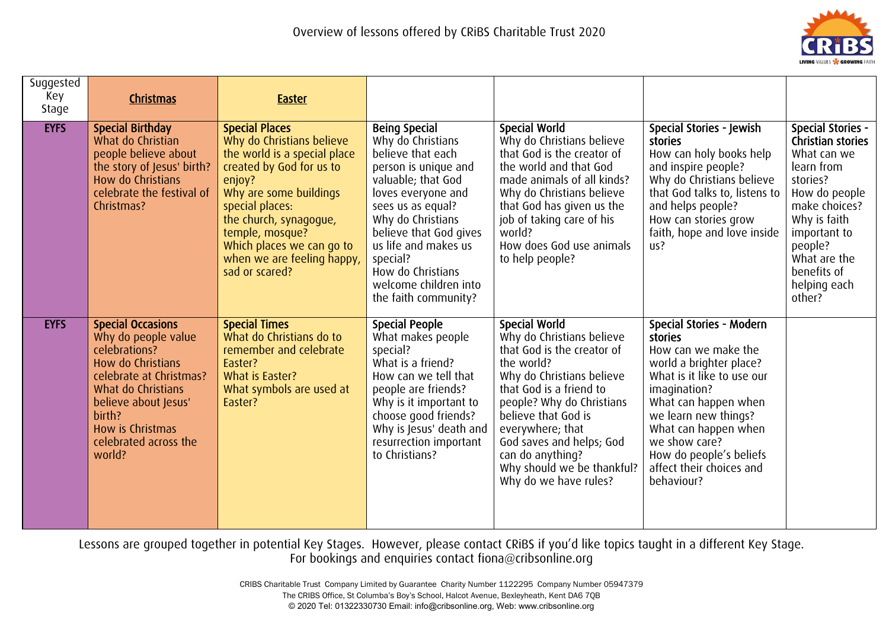

| Suggested<br>Key<br>Stage | Christmas                                                                                                                                                                                                                       | <b>Easter</b>                                                                                                                                                                                                                                                                                   |                                                                                                                                                                                                                                                                                                                  |                                                                                                                                                                                                                                                                                                                                      |                                                                                                                                                                                                                                                                                                   |                                                                                                                                                                                                                              |
|---------------------------|---------------------------------------------------------------------------------------------------------------------------------------------------------------------------------------------------------------------------------|-------------------------------------------------------------------------------------------------------------------------------------------------------------------------------------------------------------------------------------------------------------------------------------------------|------------------------------------------------------------------------------------------------------------------------------------------------------------------------------------------------------------------------------------------------------------------------------------------------------------------|--------------------------------------------------------------------------------------------------------------------------------------------------------------------------------------------------------------------------------------------------------------------------------------------------------------------------------------|---------------------------------------------------------------------------------------------------------------------------------------------------------------------------------------------------------------------------------------------------------------------------------------------------|------------------------------------------------------------------------------------------------------------------------------------------------------------------------------------------------------------------------------|
| <b>EYFS</b>               | <b>Special Birthday</b><br>What do Christian<br>people believe about<br>the story of Jesus' birth?<br>How do Christians<br>celebrate the festival of<br>Christmas?                                                              | <b>Special Places</b><br>Why do Christians believe<br>the world is a special place<br>created by God for us to<br>enjoy?<br>Why are some buildings<br>special places:<br>the church, synagogue,<br>temple, mosque?<br>Which places we can go to<br>when we are feeling happy,<br>sad or scared? | <b>Being Special</b><br>Why do Christians<br>believe that each<br>person is unique and<br>valuable; that God<br>loves everyone and<br>sees us as equal?<br>Why do Christians<br>believe that God gives<br>us life and makes us<br>special?<br>How do Christians<br>welcome children into<br>the faith community? | <b>Special World</b><br>Why do Christians believe<br>that God is the creator of<br>the world and that God<br>made animals of all kinds?<br>Why do Christians believe<br>that God has given us the<br>job of taking care of his<br>world?<br>How does God use animals<br>to help people?                                              | Special Stories - Jewish<br>stories<br>How can holy books help<br>and inspire people?<br>Why do Christians believe<br>that God talks to, listens to<br>and helps people?<br>How can stories grow<br>faith, hope and love inside<br>US?                                                            | <b>Special Stories -</b><br>Christian stories<br>What can we<br>learn from<br>stories?<br>How do people<br>make choices?<br>Why is faith<br>important to<br>people?<br>What are the<br>benefits of<br>helping each<br>other? |
| <b>EYFS</b>               | <b>Special Occasions</b><br>Why do people value<br>celebrations?<br>How do Christians<br>celebrate at Christmas?<br>What do Christians<br>believe about Jesus'<br>birth?<br>How is Christmas<br>celebrated across the<br>world? | <b>Special Times</b><br>What do Christians do to<br>remember and celebrate<br>Easter?<br>What is Easter?<br>What symbols are used at<br>Easter?                                                                                                                                                 | <b>Special People</b><br>What makes people<br>special?<br>What is a friend?<br>How can we tell that<br>people are friends?<br>Why is it important to<br>choose good friends?<br>Why is Jesus' death and<br>resurrection important<br>to Christians?                                                              | <b>Special World</b><br>Why do Christians believe<br>that God is the creator of<br>the world?<br>Why do Christians believe<br>that God is a friend to<br>people? Why do Christians<br>believe that God is<br>everywhere; that<br>God saves and helps; God<br>can do anything?<br>Why should we be thankful?<br>Why do we have rules? | Special Stories - Modern<br>stories<br>How can we make the<br>world a brighter place?<br>What is it like to use our<br>imagination?<br>What can happen when<br>we learn new things?<br>What can happen when<br>we show care?<br>How do people's beliefs<br>affect their choices and<br>behaviour? |                                                                                                                                                                                                                              |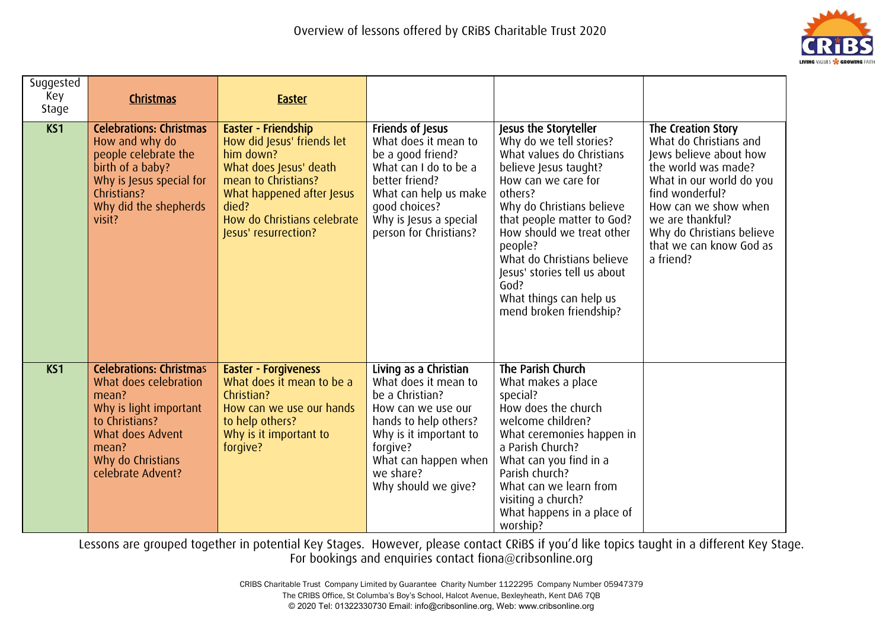

| Suggested<br>Key<br>Stage | <b>Christmas</b>                                                                                                                                                                    | <b>Easter</b>                                                                                                                                                                                                |                                                                                                                                                                                                                   |                                                                                                                                                                                                                                                                                                                                                                         |                                                                                                                                                                                                                                                               |
|---------------------------|-------------------------------------------------------------------------------------------------------------------------------------------------------------------------------------|--------------------------------------------------------------------------------------------------------------------------------------------------------------------------------------------------------------|-------------------------------------------------------------------------------------------------------------------------------------------------------------------------------------------------------------------|-------------------------------------------------------------------------------------------------------------------------------------------------------------------------------------------------------------------------------------------------------------------------------------------------------------------------------------------------------------------------|---------------------------------------------------------------------------------------------------------------------------------------------------------------------------------------------------------------------------------------------------------------|
| K51                       | <b>Celebrations: Christmas</b><br>How and why do<br>people celebrate the<br>birth of a baby?<br>Why is Jesus special for<br>Christians?<br>Why did the shepherds<br>visit?          | Easter - Friendship<br>How did Jesus' friends let<br>him down?<br>What does Jesus' death<br>mean to Christians?<br>What happened after Jesus<br>died?<br>How do Christians celebrate<br>Jesus' resurrection? | Friends of Jesus<br>What does it mean to<br>be a good friend?<br>What can I do to be a<br>better friend?<br>What can help us make<br>good choices?<br>Why is Jesus a special<br>person for Christians?            | Jesus the Storyteller<br>Why do we tell stories?<br>What values do Christians<br>believe Jesus taught?<br>How can we care for<br>others?<br>Why do Christians believe<br>that people matter to God?<br>How should we treat other<br>people?<br>What do Christians believe<br>Jesus' stories tell us about<br>God?<br>What things can help us<br>mend broken friendship? | The Creation Story<br>What do Christians and<br>Jews believe about how<br>the world was made?<br>What in our world do you<br>find wonderful?<br>How can we show when<br>we are thankful?<br>Why do Christians believe<br>that we can know God as<br>a friend? |
| KS1                       | <b>Celebrations: Christmas</b><br>What does celebration<br>mean?<br>Why is light important<br>to Christians?<br>What does Advent<br>mean?<br>Why do Christians<br>celebrate Advent? | <b>Easter - Forgiveness</b><br>What does it mean to be a<br>Christian?<br>How can we use our hands<br>to help others?<br>Why is it important to<br>forgive?                                                  | Living as a Christian<br>What does it mean to<br>be a Christian?<br>How can we use our<br>hands to help others?<br>Why is it important to<br>forgive?<br>What can happen when<br>we share?<br>Why should we give? | The Parish Church<br>What makes a place<br>special?<br>How does the church<br>welcome children?<br>What ceremonies happen in<br>a Parish Church?<br>What can you find in a<br>Parish church?<br>What can we learn from<br>visiting a church?<br>What happens in a place of<br>worship?                                                                                  |                                                                                                                                                                                                                                                               |

> CRIBS Charitable Trust Company Limited by Guarantee Charity Number 1122295 Company Number 05947379 The CRIBS Office, St Columba's Boy's School, Halcot Avenue, Bexleyheath, Kent DA6 7QB © 2020 Tel: 01322330730 Email: info@cribsonline.org, Web: www.cribsonline.org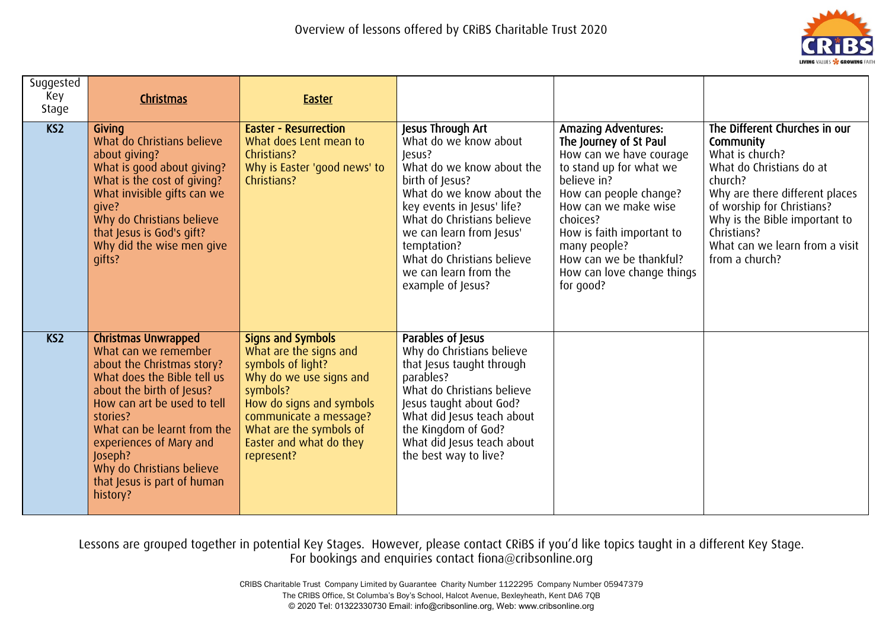

| Suggested<br>Key<br>Stage | Christmas                                                                                                                                                                                                                                                                                                                            | <b>Easter</b>                                                                                                                                                                                                                            |                                                                                                                                                                                                                                                                                                                      |                                                                                                                                                                                                                                                                                                            |                                                                                                                                                                                                                                                                          |
|---------------------------|--------------------------------------------------------------------------------------------------------------------------------------------------------------------------------------------------------------------------------------------------------------------------------------------------------------------------------------|------------------------------------------------------------------------------------------------------------------------------------------------------------------------------------------------------------------------------------------|----------------------------------------------------------------------------------------------------------------------------------------------------------------------------------------------------------------------------------------------------------------------------------------------------------------------|------------------------------------------------------------------------------------------------------------------------------------------------------------------------------------------------------------------------------------------------------------------------------------------------------------|--------------------------------------------------------------------------------------------------------------------------------------------------------------------------------------------------------------------------------------------------------------------------|
| KS <sub>2</sub>           | Givina<br>What do Christians believe<br>about giving?<br>What is good about giving?<br>What is the cost of giving?<br>What invisible gifts can we<br>qive?<br>Why do Christians believe<br>that Jesus is God's gift?<br>Why did the wise men give<br>qifts?                                                                          | <b>Easter - Resurrection</b><br>What does Lent mean to<br>Christians?<br>Why is Easter 'good news' to<br>Christians?                                                                                                                     | Jesus Through Art<br>What do we know about<br>Jesus?<br>What do we know about the<br>birth of Jesus?<br>What do we know about the<br>key events in Jesus' life?<br>What do Christians believe<br>we can learn from Jesus'<br>temptation?<br>What do Christians believe<br>we can learn from the<br>example of Jesus? | <b>Amazing Adventures:</b><br>The Journey of St Paul<br>How can we have courage<br>to stand up for what we<br>believe in?<br>How can people change?<br>How can we make wise<br>choices?<br>How is faith important to<br>many people?<br>How can we be thankful?<br>How can love change things<br>for good? | The Different Churches in our<br>Community<br>What is church?<br>What do Christians do at<br>church?<br>Why are there different places<br>of worship for Christians?<br>Why is the Bible important to<br>Christians?<br>What can we learn from a visit<br>from a church? |
| KS <sub>2</sub>           | <b>Christmas Unwrapped</b><br>What can we remember<br>about the Christmas story?<br>What does the Bible tell us<br>about the birth of Jesus?<br>How can art be used to tell<br>stories?<br>What can be learnt from the<br>experiences of Mary and<br>Joseph?<br>Why do Christians believe<br>that Jesus is part of human<br>history? | <b>Signs and Symbols</b><br>What are the signs and<br>symbols of light?<br>Why do we use signs and<br>symbols?<br>How do signs and symbols<br>communicate a message?<br>What are the symbols of<br>Easter and what do they<br>represent? | Parables of Jesus<br>Why do Christians believe<br>that Jesus taught through<br>parables?<br>What do Christians believe<br>Jesus taught about God?<br>What did Jesus teach about<br>the Kingdom of God?<br>What did Jesus teach about<br>the best way to live?                                                        |                                                                                                                                                                                                                                                                                                            |                                                                                                                                                                                                                                                                          |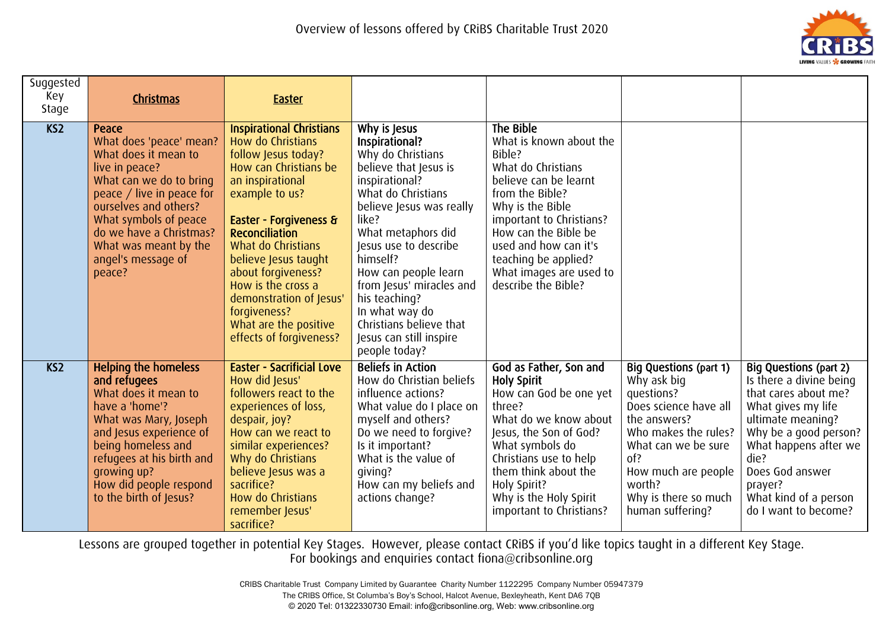

| Suggested<br>Key<br>Stage | Christmas                                                                                                                                                                                                                                                                | <b>Easter</b>                                                                                                                                                                                                                                                                                                                                                                          |                                                                                                                                                                                                                                                                                                                                                                                    |                                                                                                                                                                                                                                                                                             |                                                                                                                                                                                                                                 |                                                                                                                                                                                                                                                               |
|---------------------------|--------------------------------------------------------------------------------------------------------------------------------------------------------------------------------------------------------------------------------------------------------------------------|----------------------------------------------------------------------------------------------------------------------------------------------------------------------------------------------------------------------------------------------------------------------------------------------------------------------------------------------------------------------------------------|------------------------------------------------------------------------------------------------------------------------------------------------------------------------------------------------------------------------------------------------------------------------------------------------------------------------------------------------------------------------------------|---------------------------------------------------------------------------------------------------------------------------------------------------------------------------------------------------------------------------------------------------------------------------------------------|---------------------------------------------------------------------------------------------------------------------------------------------------------------------------------------------------------------------------------|---------------------------------------------------------------------------------------------------------------------------------------------------------------------------------------------------------------------------------------------------------------|
| KS <sub>2</sub>           | Peace<br>What does 'peace' mean?<br>What does it mean to<br>live in peace?<br>What can we do to bring<br>peace / live in peace for<br>ourselves and others?<br>What symbols of peace<br>do we have a Christmas?<br>What was meant by the<br>angel's message of<br>peace? | <b>Inspirational Christians</b><br>How do Christians<br>follow Jesus today?<br>How can Christians be<br>an inspirational<br>example to us?<br>Easter - Forgiveness &<br><b>Reconciliation</b><br>What do Christians<br>believe Jesus taught<br>about forgiveness?<br>How is the cross a<br>demonstration of Jesus'<br>forgiveness?<br>What are the positive<br>effects of forgiveness? | Why is Jesus<br>Inspirational?<br>Why do Christians<br>believe that Jesus is<br>inspirational?<br>What do Christians<br>believe Jesus was really<br>like?<br>What metaphors did<br>Jesus use to describe<br>himself?<br>How can people learn<br>from Jesus' miracles and<br>his teaching?<br>In what way do<br>Christians believe that<br>Jesus can still inspire<br>people today? | The Bible<br>What is known about the<br>Bible?<br>What do Christians<br>believe can be learnt<br>from the Bible?<br>Why is the Bible<br>important to Christians?<br>How can the Bible be<br>used and how can it's<br>teaching be applied?<br>What images are used to<br>describe the Bible? |                                                                                                                                                                                                                                 |                                                                                                                                                                                                                                                               |
| K <sub>S</sub>            | <b>Helping the homeless</b><br>and refugees<br>What does it mean to<br>have a 'home'?<br>What was Mary, Joseph<br>and Jesus experience of<br>being homeless and<br>refugees at his birth and<br>qrowing up?<br>How did people respond<br>to the birth of Jesus?          | <b>Easter - Sacrificial Love</b><br>How did Jesus'<br>followers react to the<br>experiences of loss,<br>despair, joy?<br>How can we react to<br>similar experiences?<br>Why do Christians<br>believe Jesus was a<br>sacrifice?<br>How do Christians<br>remember Jesus'<br>sacrifice?                                                                                                   | <b>Beliefs in Action</b><br>How do Christian beliefs<br>influence actions?<br>What value do I place on<br>myself and others?<br>Do we need to forgive?<br>Is it important?<br>What is the value of<br>qiving?<br>How can my beliefs and<br>actions change?                                                                                                                         | God as Father, Son and<br><b>Holy Spirit</b><br>How can God be one yet<br>three?<br>What do we know about<br>Jesus, the Son of God?<br>What symbols do<br>Christians use to help<br>them think about the<br>Holy Spirit?<br>Why is the Holy Spirit<br>important to Christians?              | Big Questions (part 1)<br>Why ask big<br>questions?<br>Does science have all<br>the answers?<br>Who makes the rules?<br>What can we be sure<br>of?<br>How much are people<br>worth?<br>Why is there so much<br>human suffering? | Big Questions (part 2)<br>Is there a divine being<br>that cares about me?<br>What gives my life<br>ultimate meaning?<br>Why be a good person?<br>What happens after we<br>die?<br>Does God answer<br>prayer?<br>What kind of a person<br>do I want to become? |